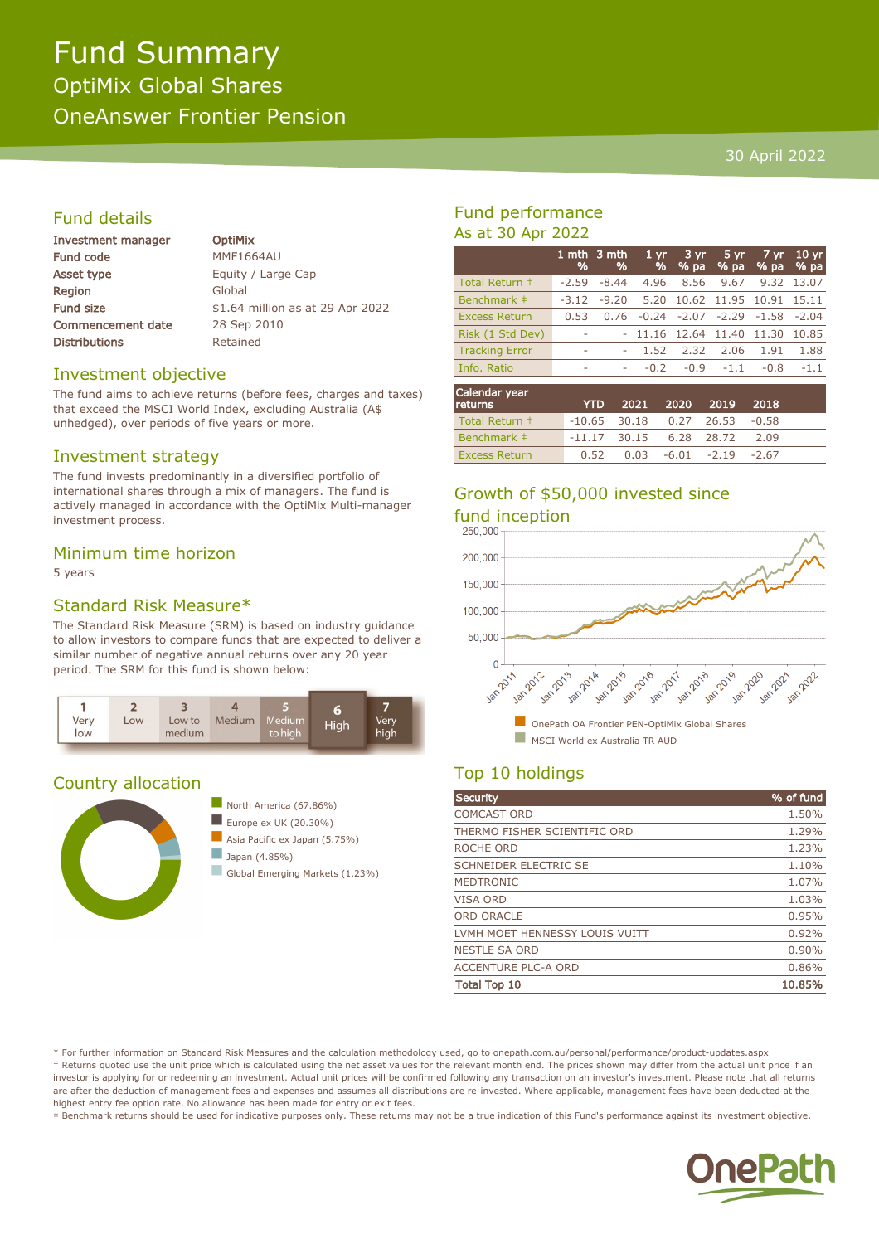# Fund Summary OptiMix Global Shares OneAnswer Frontier Pension

#### 30 April 2022

## Fund details

| Investment manager       |
|--------------------------|
| Fund code                |
| Asset type               |
| Region                   |
| <b>Fund size</b>         |
| <b>Commencement date</b> |
| <b>Distributions</b>     |

**OptiMix MMF1664AU** Equity / Large Cap Global \$1.64 million as at 29 Apr 2022 28 Sep 2010 Retained

#### Investment objective

The fund aims to achieve returns (before fees, charges and taxes) that exceed the MSCI World Index, excluding Australia (A\$ unhedged), over periods of five years or more.

#### Investment strategy

The fund invests predominantly in a diversified portfolio of international shares through a mix of managers. The fund is actively managed in accordance with the OptiMix Multi-manager investment process.

#### Minimum time horizon

5 years

#### Standard Risk Measure\*

The Standard Risk Measure (SRM) is based on industry guidance to allow investors to compare funds that are expected to deliver a similar number of negative annual returns over any 20 year period. The SRM for this fund is shown below:



#### Country allocation



## Fund performance As at 30 Apr 2022

|                       | %                        | 1 mth 3 mth<br>% | 1 <sub>vr</sub><br>$\frac{9}{6}$ | $3 \, yr$<br>$%$ pa | 5 yr<br>$\sqrt{96}$ pa | $7 \, \text{yr}$<br>$\sqrt{96}$ pa | 10 <sub>yr</sub><br>% pa |
|-----------------------|--------------------------|------------------|----------------------------------|---------------------|------------------------|------------------------------------|--------------------------|
| Total Return +        | $-2.59$                  | $-8.44$          | 4.96                             | 8.56                | 9.67                   |                                    | 9.32 13.07               |
| Benchmark ‡           | $-3.12$                  | $-9.20$          | 5.20                             |                     | 10.62 11.95 10.91      |                                    | 15.11                    |
| <b>Excess Return</b>  | 0.53                     | 0.76             | $-0.24$                          | $-2.07$             | $-2.29$                | -1.58                              | $-2.04$                  |
| Risk (1 Std Dev)      | $\sim$                   |                  | $-11.16$ 12.64 11.40             |                     |                        | 11.30                              | 10.85                    |
| <b>Tracking Error</b> | $\overline{\phantom{a}}$ |                  | 1.52                             | 2.32                | 2.06                   | 1.91                               | 1.88                     |
| Info. Ratio           |                          |                  | $-0.2$                           | $-0.9$              | $-1.1$                 | $-0.8$                             | $-1.1$                   |
| Carl and dans consum  |                          |                  |                                  |                     |                        |                                    |                          |

| Calendar year<br><b>returns</b> | <b>YTD</b>                        |                                       | 2021 2020 2019 2018 |      |  |
|---------------------------------|-----------------------------------|---------------------------------------|---------------------|------|--|
| Total Return +                  | $-10.65$ 30.18 0.27 26.53 $-0.58$ |                                       |                     |      |  |
| Benchmark #                     | $-11.17$ 30.15 6.28 28.72         |                                       |                     | 2.09 |  |
| <b>Excess Return</b>            |                                   | $0.52$ $0.03$ $-6.01$ $-2.19$ $-2.67$ |                     |      |  |

# Growth of \$50,000 invested since



## Top 10 holdings

| Security                       | % of fund |
|--------------------------------|-----------|
| <b>COMCAST ORD</b>             | 1.50%     |
| THERMO FISHER SCIENTIFIC ORD   | 1.29%     |
| ROCHE ORD                      | 1.23%     |
| <b>SCHNEIDER ELECTRIC SE</b>   | 1.10%     |
| <b>MEDTRONIC</b>               | 1.07%     |
| VISA ORD                       | 1.03%     |
| <b>ORD ORACLE</b>              | 0.95%     |
| LVMH MOET HENNESSY LOUIS VUITT | 0.92%     |
| <b>NESTLE SA ORD</b>           | 0.90%     |
| <b>ACCENTURE PLC-A ORD</b>     | 0.86%     |
| <b>Total Top 10</b>            | 10.85%    |

\* For further information on Standard Risk Measures and the calculation methodology used, go to onepath.com.au/personal/performance/product-updates.aspx † Returns quoted use the unit price which is calculated using the net asset values for the relevant month end. The prices shown may differ from the actual unit price if an investor is applying for or redeeming an investment. Actual unit prices will be confirmed following any transaction on an investor's investment. Please note that all returns are after the deduction of management fees and expenses and assumes all distributions are re-invested. Where applicable, management fees have been deducted at the highest entry fee option rate. No allowance has been made for entry or exit fees.

‡ Benchmark returns should be used for indicative purposes only. These returns may not be a true indication of this Fund's performance against its investment objective.